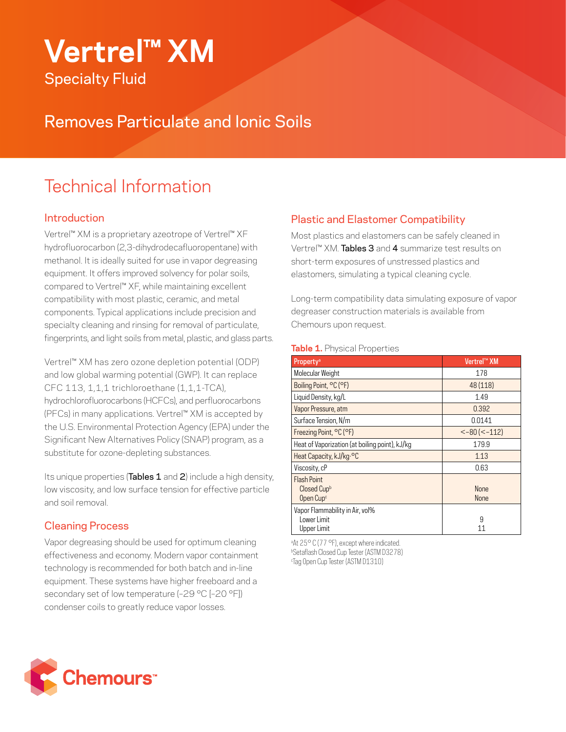# **Vertrel™ XM** Specialty Fluid

Removes Particulate and Ionic Soils

# Technical Information

#### **Introduction**

Vertrel™ XM is a proprietary azeotrope of Vertrel™ XF hydrofluorocarbon (2,3-dihydrodecafluoropentane) with methanol. It is ideally suited for use in vapor degreasing equipment. It offers improved solvency for polar soils, compared to Vertrel™ XF, while maintaining excellent compatibility with most plastic, ceramic, and metal components. Typical applications include precision and specialty cleaning and rinsing for removal of particulate, fingerprints, and light soils from metal, plastic, and glass parts.

Vertrel™ XM has zero ozone depletion potential (ODP) and low global warming potential (GWP). It can replace CFC 113, 1,1,1 trichloroethane (1,1,1-TCA), hydrochlorofluorocarbons (HCFCs), and perfluorocarbons (PFCs) in many applications. Vertrel™ XM is accepted by the U.S. Environmental Protection Agency (EPA) under the Significant New Alternatives Policy (SNAP) program, as a substitute for ozone-depleting substances.

Its unique properties (Tables 1 and 2) include a high density, low viscosity, and low surface tension for effective particle and soil removal.

#### Cleaning Process

Vapor degreasing should be used for optimum cleaning effectiveness and economy. Modern vapor containment technology is recommended for both batch and in-line equipment. These systems have higher freeboard and a secondary set of low temperature (-29 °C [-20 °F]) condenser coils to greatly reduce vapor losses.

### Plastic and Elastomer Compatibility

Most plastics and elastomers can be safely cleaned in Vertrel™ XM. **Tables 3** and 4 summarize test results on short-term exposures of unstressed plastics and elastomers, simulating a typical cleaning cycle.

Long-term compatibility data simulating exposure of vapor degreaser construction materials is available from Chemours upon request.

#### **Table 1. Physical Properties**

| Property <sup>a</sup>                          | Vertrel™ XM          |
|------------------------------------------------|----------------------|
| Molecular Weight                               | 178                  |
| Boiling Point, °C (°F)                         | 48 (118)             |
| Liquid Density, kg/L                           | 1.49                 |
| Vapor Pressure, atm                            | 0.392                |
| Surface Tension, N/m                           | 0.0141               |
| Freezing Point, °C (°F)                        | $< -80$ ( $< -112$ ) |
| Heat of Vaporization (at boiling point), kJ/kg | 179.9                |
| Heat Capacity, kJ/kg. <sup>o</sup> C           | 1.13                 |
| Viscosity, cP                                  | 0.63                 |
| <b>Flash Point</b>                             |                      |
| Closed Cupb                                    | <b>None</b>          |
| Open Cup <sup>c</sup>                          | <b>None</b>          |
| Vapor Flammability in Air, vol%                |                      |
| Lower Limit                                    | 9                    |
| Upper Limit                                    | 11                   |

a At 25° C (77 °F), except where indicated. b Setaflash Closed Cup Tester (ASTM D3278) c Tag Open Cup Tester (ASTM D1310)

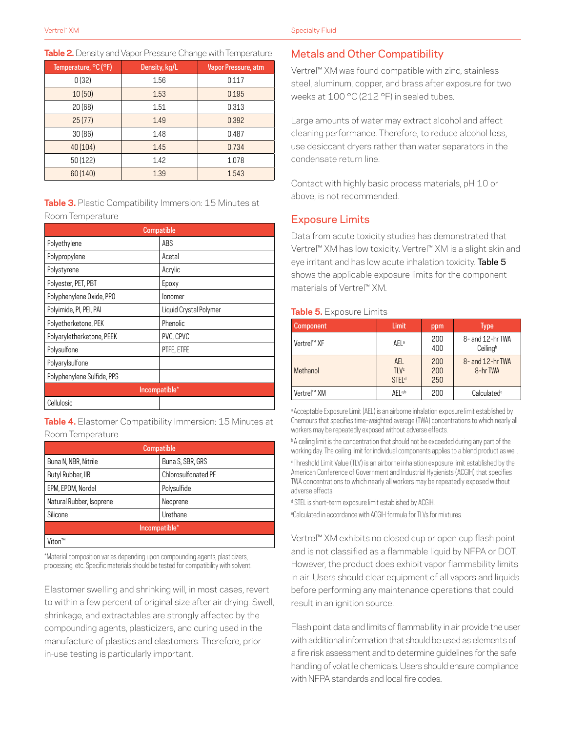|  |  | <b>Table 2.</b> Density and Vapor Pressure Change with Temperature |  |  |  |  |
|--|--|--------------------------------------------------------------------|--|--|--|--|
|--|--|--------------------------------------------------------------------|--|--|--|--|

| Temperature, °C (°F) | Density, kg/L | Vapor Pressure, atm |
|----------------------|---------------|---------------------|
| 0(32)                | 1.56          | 0.117               |
| 10(50)               | 1.53          | 0.195               |
| 20(68)               | 1.51          | 0.313               |
| 25(77)               | 1.49          | 0.392               |
| 30(86)               | 1.48          | 0.487               |
| 40(104)              | 1.45          | 0.734               |
| 50 (122)             | 1.42          | 1.078               |
| 60 (140)             | 1.39          | 1.543               |

|                  | Table 3. Plastic Compatibility Immersion: 15 Minutes at |  |  |
|------------------|---------------------------------------------------------|--|--|
| Room Temperature |                                                         |  |  |

| Compatible                 |                        |  |  |
|----------------------------|------------------------|--|--|
| Polyethylene               | ABS                    |  |  |
| Polypropylene              | Acetal                 |  |  |
| Polystyrene                | Acrylic                |  |  |
| Polyester, PET, PBT        | Epoxy                  |  |  |
| Polyphenylene Oxide, PPO   | <b>lonomer</b>         |  |  |
| Polyimide, PI, PEI, PAI    | Liquid Crystal Polymer |  |  |
| Polyetherketone, PEK       | Phenolic               |  |  |
| Polyaryletherketone, PEEK  | PVC, CPVC              |  |  |
| Polysulfone                | PTFE, ETFE             |  |  |
| Polyarylsulfone            |                        |  |  |
| Polyphenylene Sulfide, PPS |                        |  |  |
| Incompatible*              |                        |  |  |
| Cellulosic                 |                        |  |  |

**Table 4.** Elastomer Compatibility Immersion: 15 Minutes at Room Temperature

| <b>Compatible</b>        |                     |  |
|--------------------------|---------------------|--|
| Buna N, NBR, Nitrile     | Buna S, SBR, GRS    |  |
| Butyl Rubber, IIR        | Chlorosulfonated PE |  |
| EPM, EPDM, Nordel        | Polysulfide         |  |
| Natural Rubber, Isoprene | Neoprene            |  |
| Silicone                 | Urethane            |  |
| Incompatible*            |                     |  |
| Viton™                   |                     |  |

\*Material composition varies depending upon compounding agents, plasticizers, processing, etc. Specific materials should be tested for compatibility with solvent.

Elastomer swelling and shrinking will, in most cases, revert to within a few percent of original size after air drying. Swell, shrinkage, and extractables are strongly affected by the compounding agents, plasticizers, and curing used in the manufacture of plastics and elastomers. Therefore, prior in-use testing is particularly important.

#### Metals and Other Compatibility

Vertrel™ XM was found compatible with zinc, stainless steel, aluminum, copper, and brass after exposure for two weeks at 100 °C (212 °F) in sealed tubes.

Large amounts of water may extract alcohol and affect cleaning performance. Therefore, to reduce alcohol loss, use desiccant dryers rather than water separators in the condensate return line.

Contact with highly basic process materials, pH 10 or above, is not recommended.

#### Exposure Limits

Data from acute toxicity studies has demonstrated that Vertrel™ XM has low toxicity. Vertrel™ XM is a slight skin and eye irritant and has low acute inhalation toxicity. Table 5 shows the applicable exposure limits for the component materials of Vertrel™ XM.

#### **Table 5.** Exposure Limits

| <b>Component</b> | Limit                                    | ppm               | <b>Type</b>                  |
|------------------|------------------------------------------|-------------------|------------------------------|
| Vertrel™ XF      | AEL <sup>a</sup>                         | 200<br>400        | 8- and 12-hr TWA<br>Ceilingb |
| Methanol         | AEL<br>TI V <sup>c</sup><br><b>STELd</b> | 200<br>200<br>250 | 8- and 12-hr TWA<br>8-hr TWA |
| Vertrel™ XM      | $\Delta$ FI a,b                          | 200               | Calculated <sup>e</sup>      |

a Acceptable Exposure Limit (AEL) is an airborne inhalation exposure limit established by Chemours that specifies time-weighted average (TWA) concentrations to which nearly all workers may be repeatedly exposed without adverse effects.

**b A ceiling limit is the concentration that should not be exceeded during any part of the** working day. The ceiling limit for individual components applies to a blend product as well. c Threshold Limit Value (TLV) is an airborne inhalation exposure limit established by the American Conference of Government and Industrial Hygienists (ACGIH) that specifies TWA concentrations to which nearly all workers may be repeatedly exposed without adverse effects.

d STEL is short-term exposure limit established by ACGIH.

e Calculated in accordance with ACGIH formula for TLVs for mixtures.

Vertrel™ XM exhibits no closed cup or open cup flash point and is not classified as a flammable liquid by NFPA or DOT. However, the product does exhibit vapor flammability limits in air. Users should clear equipment of all vapors and liquids before performing any maintenance operations that could result in an ignition source.

Flash point data and limits of flammability in air provide the user with additional information that should be used as elements of a fire risk assessment and to determine guidelines for the safe handling of volatile chemicals. Users should ensure compliance with NFPA standards and local fire codes.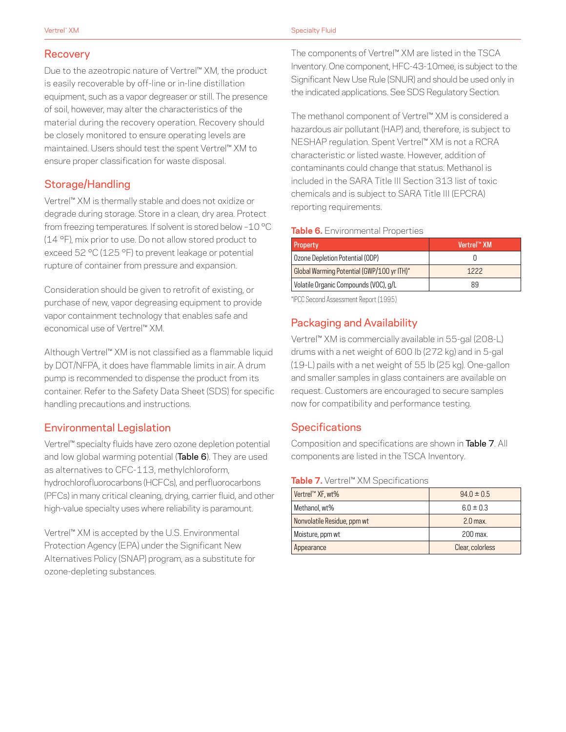#### Recovery

Due to the azeotropic nature of Vertrel™ XM, the product is easily recoverable by off-line or in-line distillation equipment, such as a vapor degreaser or still. The presence of soil, however, may alter the characteristics of the material during the recovery operation. Recovery should be closely monitored to ensure operating levels are maintained. Users should test the spent Vertrel™ XM to ensure proper classification for waste disposal.

#### Storage/Handling

Vertrel™ XM is thermally stable and does not oxidize or degrade during storage. Store in a clean, dry area. Protect from freezing temperatures. If solvent is stored below –10 °C (14 °F), mix prior to use. Do not allow stored product to exceed 52 °C (125 °F) to prevent leakage or potential rupture of container from pressure and expansion.

Consideration should be given to retrofit of existing, or purchase of new, vapor degreasing equipment to provide vapor containment technology that enables safe and economical use of Vertrel™ XM.

Although Vertrel™ XM is not classified as a flammable liquid by DOT/NFPA, it does have flammable limits in air. A drum pump is recommended to dispense the product from its container. Refer to the Safety Data Sheet (SDS) for specific handling precautions and instructions.

#### Environmental Legislation

Vertrel™ specialty fluids have zero ozone depletion potential and low global warming potential (Table 6). They are used as alternatives to CFC-113, methylchloroform, hydrochlorofluorocarbons (HCFCs), and perfluorocarbons (PFCs) in many critical cleaning, drying, carrier fluid, and other high-value specialty uses where reliability is paramount.

Vertrel™ XM is accepted by the U.S. Environmental Protection Agency (EPA) under the Significant New Alternatives Policy (SNAP) program, as a substitute for ozone-depleting substances.

The components of Vertrel™ XM are listed in the TSCA Inventory. One component, HFC-43-10mee, is subject to the Significant New Use Rule (SNUR) and should be used only in the indicated applications. See SDS Regulatory Section.

The methanol component of Vertrel™ XM is considered a hazardous air pollutant (HAP) and, therefore, is subject to NESHAP regulation. Spent Vertrel™ XM is not a RCRA characteristic or listed waste. However, addition of contaminants could change that status. Methanol is included in the SARA Title III Section 313 list of toxic chemicals and is subject to SARA Title III (EPCRA) reporting requirements.

#### **Table 6.** Environmental Properties

| Vertrel™ XM |
|-------------|
|             |
| 1222        |
| 89          |
|             |

\*IPCC Second Assessment Report (1995)

# Packaging and Availability

Vertrel™ XM is commercially available in 55-gal (208-L) drums with a net weight of 600 lb (272 kg) and in 5-gal (19-L) pails with a net weight of 55 lb (25 kg). One-gallon and smaller samples in glass containers are available on request. Customers are encouraged to secure samples now for compatibility and performance testing.

## **Specifications**

Composition and specifications are shown in Table 7. All components are listed in the TSCA Inventory.

#### **Table 7.** Vertrel™ XM Specifications

| Vertrel™ XF, wt%            | $94.0 \pm 0.5$   |
|-----------------------------|------------------|
| Methanol, wt%               | $6.0 \pm 0.3$    |
| Nonvolatile Residue, ppm wt | $2.0$ max.       |
| Moisture, ppm wt            | 200 max.         |
| Appearance                  | Clear, colorless |
|                             |                  |